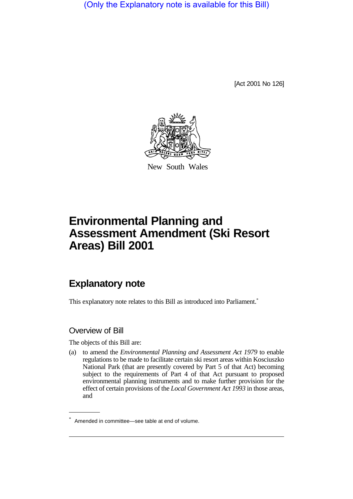(Only the Explanatory note is available for this Bill)

[Act 2001 No 126]



New South Wales

# **Environmental Planning and Assessment Amendment (Ski Resort Areas) Bill 2001**

## **Explanatory note**

This explanatory note relates to this Bill as introduced into Parliament.<sup>\*</sup>

#### Overview of Bill

The objects of this Bill are:

(a) to amend the *Environmental Planning and Assessment Act 1979* to enable regulations to be made to facilitate certain ski resort areas within Kosciuszko National Park (that are presently covered by Part 5 of that Act) becoming subject to the requirements of Part 4 of that Act pursuant to proposed environmental planning instruments and to make further provision for the effect of certain provisions of the *Local Government Act 1993* in those areas, and

<sup>\*</sup> Amended in committee—see table at end of volume.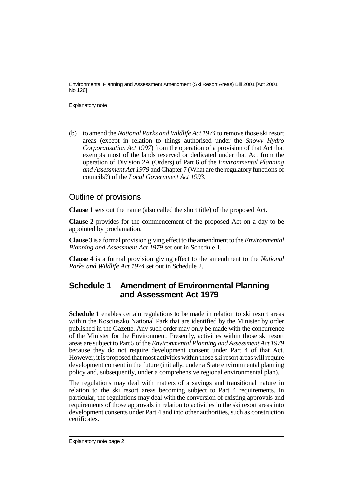Environmental Planning and Assessment Amendment (Ski Resort Areas) Bill 2001 [Act 2001 No 126]

Explanatory note

(b) to amend the *National Parks and Wildlife Act 1974* to remove those ski resort areas (except in relation to things authorised under the *Snowy Hydro Corporatisation Act 1997*) from the operation of a provision of that Act that exempts most of the lands reserved or dedicated under that Act from the operation of Division 2A (Orders) of Part 6 of the *Environmental Planning and Assessment Act 1979* and Chapter 7 (What are the regulatory functions of councils?) of the *Local Government Act 1993*.

#### Outline of provisions

**Clause 1** sets out the name (also called the short title) of the proposed Act.

**Clause 2** provides for the commencement of the proposed Act on a day to be appointed by proclamation.

**Clause 3** is a formal provision giving effect to the amendment to the *Environmental Planning and Assessment Act 1979* set out in Schedule 1.

**Clause 4** is a formal provision giving effect to the amendment to the *National Parks and Wildlife Act 1974* set out in Schedule 2.

#### **Schedule 1 Amendment of Environmental Planning and Assessment Act 1979**

**Schedule 1** enables certain regulations to be made in relation to ski resort areas within the Kosciuszko National Park that are identified by the Minister by order published in the Gazette. Any such order may only be made with the concurrence of the Minister for the Environment. Presently, activities within those ski resort areas are subject to Part 5 of the *Environmental Planning and Assessment Act 1979* because they do not require development consent under Part 4 of that Act. However, it is proposed that most activities within those ski resort areas will require development consent in the future (initially, under a State environmental planning policy and, subsequently, under a comprehensive regional environmental plan).

The regulations may deal with matters of a savings and transitional nature in relation to the ski resort areas becoming subject to Part 4 requirements. In particular, the regulations may deal with the conversion of existing approvals and requirements of those approvals in relation to activities in the ski resort areas into development consents under Part 4 and into other authorities, such as construction certificates.